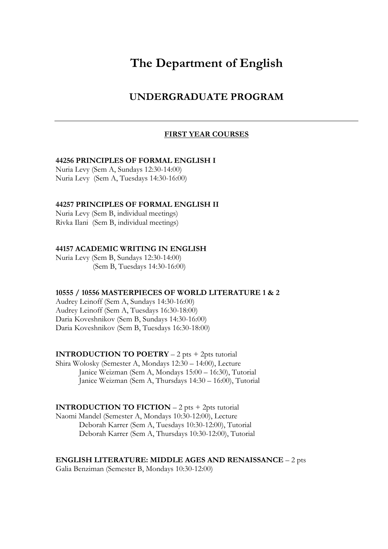# **The Department of English**

# **UNDERGRADUATE PROGRAM**

# **FIRST YEAR COURSES**

#### **44256 PRINCIPLES OF FORMAL ENGLISH I**

Nuria Levy (Sem A, Sundays 12:30-14:00) Nuria Levy (Sem A, Tuesdays 14:30-16:00)

### **44257 PRINCIPLES OF FORMAL ENGLISH II**

Nuria Levy (Sem B, individual meetings) Rivka Ilani (Sem B, individual meetings)

### **44157 ACADEMIC WRITING IN ENGLISH**

Nuria Levy (Sem B, Sundays 12:30-14:00) (Sem B, Tuesdays 14:30-16:00)

#### **10555 / 10556 MASTERPIECES OF WORLD LITERATURE 1 & 2**

Audrey Leinoff (Sem A, Sundays 14:30-16:00) Audrey Leinoff (Sem A, Tuesdays 16:30-18:00) Daria Koveshnikov (Sem B, Sundays 14:30-16:00) Daria Koveshnikov (Sem B, Tuesdays 16:30-18:00)

**INTRODUCTION TO POETRY** – 2 pts + 2pts tutorial Shira Wolosky (Semester A, Mondays 12:30 – 14:00), Lecture Janice Weizman (Sem A, Mondays 15:00 – 16:30), Tutorial Janice Weizman (Sem A, Thursdays 14:30 – 16:00), Tutorial

**INTRODUCTION TO FICTION** – 2 pts + 2pts tutorial Naomi Mandel (Semester A, Mondays 10:30-12:00), Lecture Deborah Karrer (Sem A, Tuesdays 10:30-12:00), Tutorial Deborah Karrer (Sem A, Thursdays 10:30-12:00), Tutorial

**ENGLISH LITERATURE: MIDDLE AGES AND RENAISSANCE** – 2 pts

Galia Benziman (Semester B, Mondays 10:30-12:00)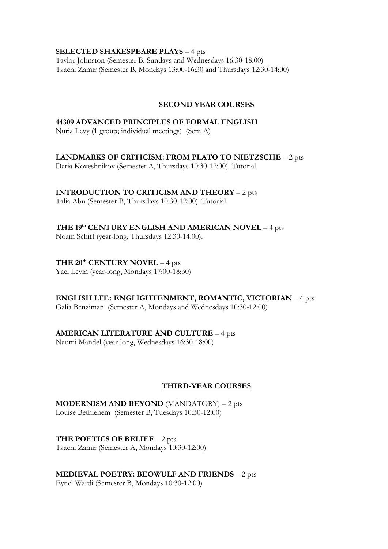### **SELECTED SHAKESPEARE PLAYS** – 4 pts

Taylor Johnston (Semester B, Sundays and Wednesdays 16:30-18:00) Tzachi Zamir (Semester B, Mondays 13:00-16:30 and Thursdays 12:30-14:00)

### **SECOND YEAR COURSES**

### **44309 ADVANCED PRINCIPLES OF FORMAL ENGLISH**

Nuria Levy (1 group; individual meetings) (Sem A)

# **LANDMARKS OF CRITICISM: FROM PLATO TO NIETZSCHE** – 2 pts

Daria Koveshnikov (Semester A, Thursdays 10:30-12:00). Tutorial

# **INTRODUCTION TO CRITICISM AND THEORY** – 2 pts

Talia Abu (Semester B, Thursdays 10:30-12:00). Tutorial

# **THE 19th CENTURY ENGLISH AND AMERICAN NOVEL** – 4 pts

Noam Schiff (year-long, Thursdays 12:30-14:00).

# **THE 20th CENTURY NOVEL** – 4 pts

Yael Levin (year-long, Mondays 17:00-18:30)

# **ENGLISH LIT.: ENGLIGHTENMENT, ROMANTIC, VICTORIAN** – 4 pts

Galia Benziman (Semester A, Mondays and Wednesdays 10:30-12:00)

# **AMERICAN LITERATURE AND CULTURE** – 4 pts

Naomi Mandel (year-long, Wednesdays 16:30-18:00)

# **THIRD-YEAR COURSES**

**MODERNISM AND BEYOND** (MANDATORY) – 2 pts Louise Bethlehem (Semester B, Tuesdays 10:30-12:00)

**THE POETICS OF BELIEF** – 2 pts Tzachi Zamir (Semester A, Mondays 10:30-12:00)

**MEDIEVAL POETRY: BEOWULF AND FRIENDS** – 2 pts

Eynel Wardi (Semester B, Mondays 10:30-12:00)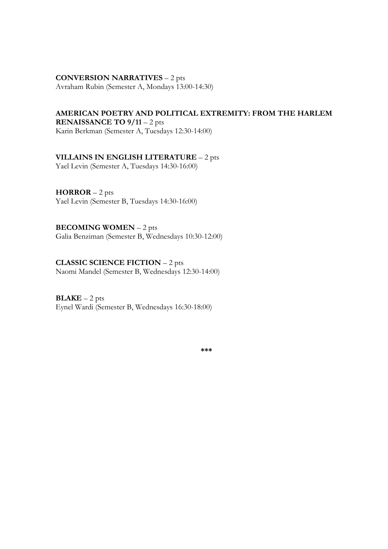# **CONVERSION NARRATIVES** – 2 pts

Avraham Rubin (Semester A, Mondays 13:00-14:30)

# **AMERICAN POETRY AND POLITICAL EXTREMITY: FROM THE HARLEM**

**RENAISSANCE TO 9/11** – 2 pts Karin Berkman (Semester A, Tuesdays 12:30-14:00)

# **VILLAINS IN ENGLISH LITERATURE** – 2 pts

Yael Levin (Semester A, Tuesdays 14:30-16:00)

### **HORROR** – 2 pts Yael Levin (Semester B, Tuesdays 14:30-16:00)

**BECOMING WOMEN** – 2 pts Galia Benziman (Semester B, Wednesdays 10:30-12:00)

# **CLASSIC SCIENCE FICTION** – 2 pts

Naomi Mandel (Semester B, Wednesdays 12:30-14:00)

### $BLAKE - 2 pts$ Eynel Wardi (Semester B, Wednesdays 16:30-18:00)

**\*\*\***